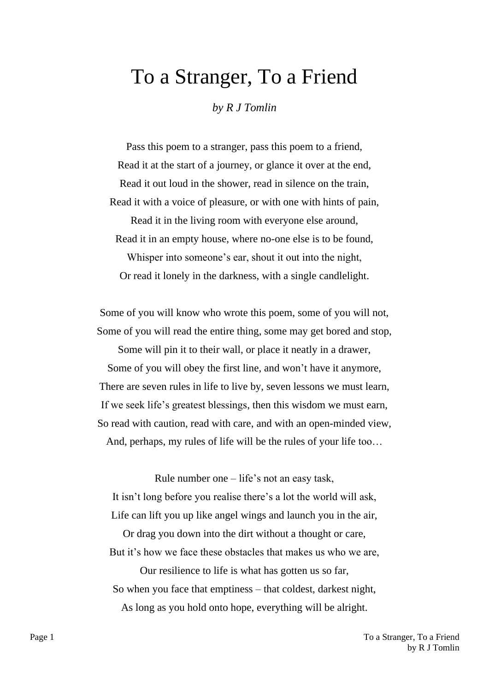## To a Stranger, To a Friend

*by R J Tomlin*

Pass this poem to a stranger, pass this poem to a friend, Read it at the start of a journey, or glance it over at the end, Read it out loud in the shower, read in silence on the train, Read it with a voice of pleasure, or with one with hints of pain, Read it in the living room with everyone else around, Read it in an empty house, where no-one else is to be found, Whisper into someone's ear, shout it out into the night,

Or read it lonely in the darkness, with a single candlelight.

Some of you will know who wrote this poem, some of you will not, Some of you will read the entire thing, some may get bored and stop,

Some will pin it to their wall, or place it neatly in a drawer, Some of you will obey the first line, and won't have it anymore, There are seven rules in life to live by, seven lessons we must learn, If we seek life's greatest blessings, then this wisdom we must earn, So read with caution, read with care, and with an open-minded view, And, perhaps, my rules of life will be the rules of your life too…

Rule number one  $-$  life's not an easy task, It isn't long before you realise there's a lot the world will ask, Life can lift you up like angel wings and launch you in the air, Or drag you down into the dirt without a thought or care,

But it's how we face these obstacles that makes us who we are,

Our resilience to life is what has gotten us so far, So when you face that emptiness – that coldest, darkest night, As long as you hold onto hope, everything will be alright.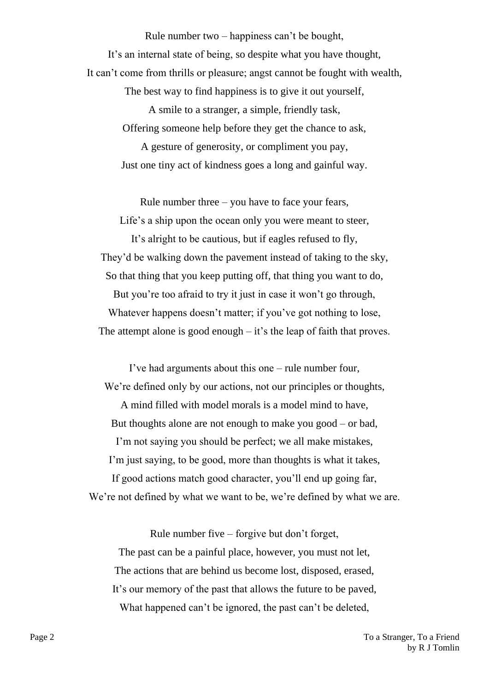Rule number two – happiness can't be bought, It's an internal state of being, so despite what you have thought, It can't come from thrills or pleasure; angst cannot be fought with wealth,

> The best way to find happiness is to give it out yourself, A smile to a stranger, a simple, friendly task, Offering someone help before they get the chance to ask, A gesture of generosity, or compliment you pay,

Just one tiny act of kindness goes a long and gainful way.

Rule number three  $-$  you have to face your fears, Life's a ship upon the ocean only you were meant to steer, It's alright to be cautious, but if eagles refused to fly, They'd be walking down the pavement instead of taking to the sky, So that thing that you keep putting off, that thing you want to do, But you're too afraid to try it just in case it won't go through, Whatever happens doesn't matter; if you've got nothing to lose, The attempt alone is good enough  $-$  it's the leap of faith that proves.

I've had arguments about this one – rule number four, We're defined only by our actions, not our principles or thoughts, A mind filled with model morals is a model mind to have, But thoughts alone are not enough to make you good – or bad, I'm not saying you should be perfect; we all make mistakes, I'm just saying, to be good, more than thoughts is what it takes, If good actions match good character, you'll end up going far, We're not defined by what we want to be, we're defined by what we are.

Rule number five – forgive but don't forget, The past can be a painful place, however, you must not let, The actions that are behind us become lost, disposed, erased, It's our memory of the past that allows the future to be paved, What happened can't be ignored, the past can't be deleted,